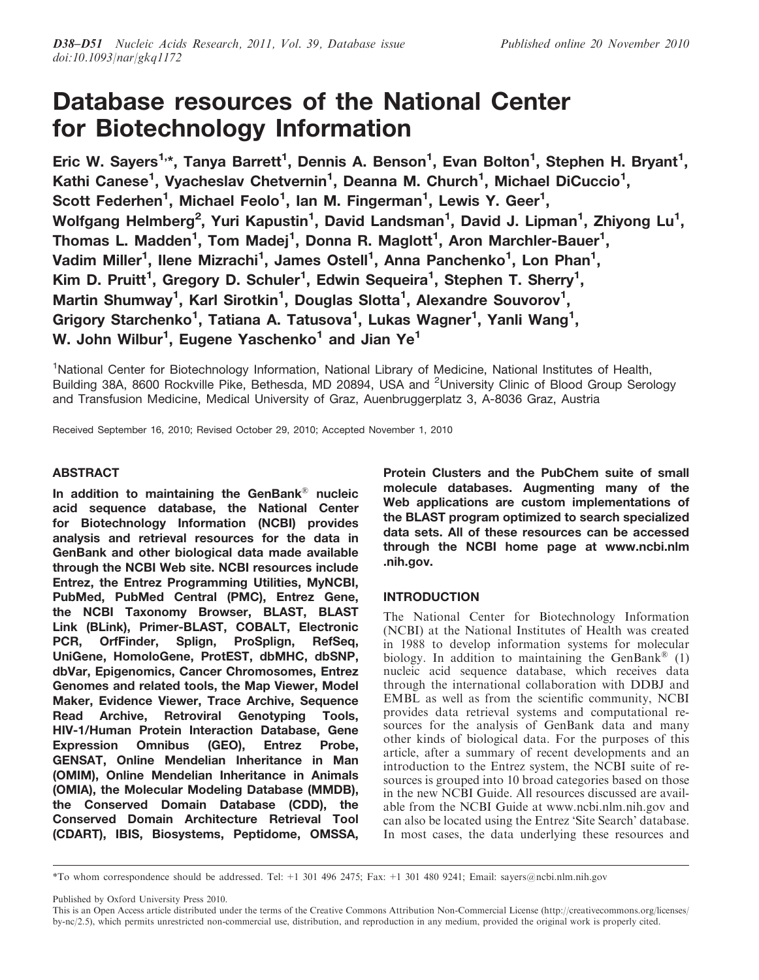# Database resources of the National Center for Biotechnology Information

Eric W. Sayers<sup>1,\*</sup>, Tanya Barrett<sup>1</sup>, Dennis A. Benson<sup>1</sup>, Evan Bolton<sup>1</sup>, Stephen H. Bryant<sup>1</sup>, Kathi Canese<sup>1</sup>, Vyacheslav Chetvernin<sup>1</sup>, Deanna M. Church<sup>1</sup>, Michael DiCuccio<sup>1</sup>, Scott Federhen<sup>1</sup>, Michael Feolo<sup>1</sup>, Ian M. Fingerman<sup>1</sup>, Lewis Y. Geer<sup>1</sup>, Wolfgang Helmberg<sup>2</sup>, Yuri Kapustin<sup>1</sup>, David Landsman<sup>1</sup>, David J. Lipman<sup>1</sup>, Zhiyong Lu<sup>1</sup>, Thomas L. Madden<sup>1</sup>, Tom Madej<sup>1</sup>, Donna R. Maglott<sup>1</sup>, Aron Marchler-Bauer<sup>1</sup>, Vadim Miller<sup>1</sup>, Ilene Mizrachi<sup>1</sup>, James Ostell<sup>1</sup>, Anna Panchenko<sup>1</sup>, Lon Phan<sup>1</sup>, Kim D. Pruitt<sup>1</sup>, Gregory D. Schuler<sup>1</sup>, Edwin Sequeira<sup>1</sup>, Stephen T. Sherry<sup>1</sup>, Martin Shumway<sup>1</sup>, Karl Sirotkin<sup>1</sup>, Douglas Slotta<sup>1</sup>, Alexandre Souvorov<sup>1</sup>, Grigory Starchenko<sup>1</sup>, Tatiana A. Tatusova<sup>1</sup>, Lukas Wagner<sup>1</sup>, Yanli Wang<sup>1</sup>, W. John Wilbur<sup>1</sup>, Eugene Yaschenko<sup>1</sup> and Jian Ye<sup>1</sup>

<sup>1</sup>National Center for Biotechnology Information, National Library of Medicine, National Institutes of Health, Building 38A, 8600 Rockville Pike, Bethesda, MD 20894, USA and <sup>2</sup>University Clinic of Blood Group Serology and Transfusion Medicine, Medical University of Graz, Auenbruggerplatz 3, A-8036 Graz, Austria

Received September 16, 2010; Revised October 29, 2010; Accepted November 1, 2010

# ABSTRACT

In addition to maintaining the GenBank $^{\circledR}$  nucleic acid sequence database, the National Center for Biotechnology Information (NCBI) provides analysis and retrieval resources for the data in GenBank and other biological data made available through the NCBI Web site. NCBI resources include Entrez, the Entrez Programming Utilities, MyNCBI, PubMed, PubMed Central (PMC), Entrez Gene, the NCBI Taxonomy Browser, BLAST, BLAST Link (BLink), Primer-BLAST, COBALT, Electronic PCR, OrfFinder, Splign, ProSplign, RefSeq, UniGene, HomoloGene, ProtEST, dbMHC, dbSNP, dbVar, Epigenomics, Cancer Chromosomes, Entrez Genomes and related tools, the Map Viewer, Model Maker, Evidence Viewer, Trace Archive, Sequence Read Archive, Retroviral Genotyping Tools, HIV-1/Human Protein Interaction Database, Gene Expression Omnibus (GEO), Entrez Probe, GENSAT, Online Mendelian Inheritance in Man (OMIM), Online Mendelian Inheritance in Animals (OMIA), the Molecular Modeling Database (MMDB), the Conserved Domain Database (CDD), the Conserved Domain Architecture Retrieval Tool (CDART), IBIS, Biosystems, Peptidome, OMSSA, Protein Clusters and the PubChem suite of small molecule databases. Augmenting many of the Web applications are custom implementations of the BLAST program optimized to search specialized data sets. All of these resources can be accessed through the NCBI home page at www.ncbi.nlm .nih.gov.

# INTRODUCTION

The National Center for Biotechnology Information (NCBI) at the National Institutes of Health was created in 1988 to develop information systems for molecular biology. In addition to maintaining the GenBank® (1) nucleic acid sequence database, which receives data through the international collaboration with DDBJ and EMBL as well as from the scientific community, NCBI provides data retrieval systems and computational resources for the analysis of GenBank data and many other kinds of biological data. For the purposes of this article, after a summary of recent developments and an introduction to the Entrez system, the NCBI suite of resources is grouped into 10 broad categories based on those in the new NCBI Guide. All resources discussed are available from the NCBI Guide at www.ncbi.nlm.nih.gov and can also be located using the Entrez 'Site Search' database. In most cases, the data underlying these resources and

Published by Oxford University Press 2010.

<sup>\*</sup>To whom correspondence should be addressed. Tel: +1 301 496 2475; Fax: +1 301 480 9241; Email: sayers@ncbi.nlm.nih.gov

This is an Open Access article distributed under the terms of the Creative Commons Attribution Non-Commercial License (http://creativecommons.org/licenses/ by-nc/2.5), which permits unrestricted non-commercial use, distribution, and reproduction in any medium, provided the original work is properly cited.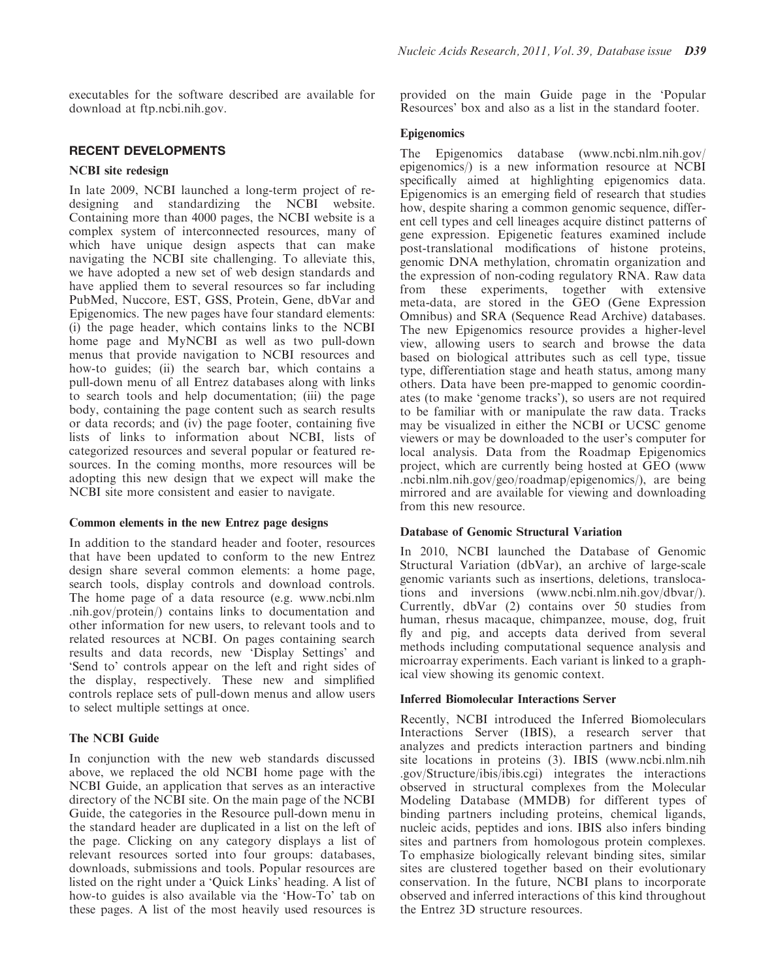executables for the software described are available for download at ftp.ncbi.nih.gov.

# RECENT DEVELOPMENTS

# NCBI site redesign

In late 2009, NCBI launched a long-term project of redesigning and standardizing the NCBI website. Containing more than 4000 pages, the NCBI website is a complex system of interconnected resources, many of which have unique design aspects that can make navigating the NCBI site challenging. To alleviate this, we have adopted a new set of web design standards and have applied them to several resources so far including PubMed, Nuccore, EST, GSS, Protein, Gene, dbVar and Epigenomics. The new pages have four standard elements: (i) the page header, which contains links to the NCBI home page and MyNCBI as well as two pull-down menus that provide navigation to NCBI resources and how-to guides; (ii) the search bar, which contains a pull-down menu of all Entrez databases along with links to search tools and help documentation; (iii) the page body, containing the page content such as search results or data records; and (iv) the page footer, containing five lists of links to information about NCBI, lists of categorized resources and several popular or featured resources. In the coming months, more resources will be adopting this new design that we expect will make the NCBI site more consistent and easier to navigate.

## Common elements in the new Entrez page designs

In addition to the standard header and footer, resources that have been updated to conform to the new Entrez design share several common elements: a home page, search tools, display controls and download controls. The home page of a data resource (e.g. www.ncbi.nlm .nih.gov/protein/) contains links to documentation and other information for new users, to relevant tools and to related resources at NCBI. On pages containing search results and data records, new 'Display Settings' and 'Send to' controls appear on the left and right sides of the display, respectively. These new and simplified controls replace sets of pull-down menus and allow users to select multiple settings at once.

## The NCBI Guide

In conjunction with the new web standards discussed above, we replaced the old NCBI home page with the NCBI Guide, an application that serves as an interactive directory of the NCBI site. On the main page of the NCBI Guide, the categories in the Resource pull-down menu in the standard header are duplicated in a list on the left of the page. Clicking on any category displays a list of relevant resources sorted into four groups: databases, downloads, submissions and tools. Popular resources are listed on the right under a 'Quick Links' heading. A list of how-to guides is also available via the 'How-To' tab on these pages. A list of the most heavily used resources is provided on the main Guide page in the 'Popular Resources' box and also as a list in the standard footer.

# Epigenomics

The Epigenomics database (www.ncbi.nlm.nih.gov/ epigenomics/) is a new information resource at NCBI specifically aimed at highlighting epigenomics data. Epigenomics is an emerging field of research that studies how, despite sharing a common genomic sequence, different cell types and cell lineages acquire distinct patterns of gene expression. Epigenetic features examined include post-translational modifications of histone proteins, genomic DNA methylation, chromatin organization and the expression of non-coding regulatory RNA. Raw data from these experiments, together with extensive meta-data, are stored in the GEO (Gene Expression Omnibus) and SRA (Sequence Read Archive) databases. The new Epigenomics resource provides a higher-level view, allowing users to search and browse the data based on biological attributes such as cell type, tissue type, differentiation stage and heath status, among many others. Data have been pre-mapped to genomic coordinates (to make 'genome tracks'), so users are not required to be familiar with or manipulate the raw data. Tracks may be visualized in either the NCBI or UCSC genome viewers or may be downloaded to the user's computer for local analysis. Data from the Roadmap Epigenomics project, which are currently being hosted at GEO (www .ncbi.nlm.nih.gov/geo/roadmap/epigenomics/), are being mirrored and are available for viewing and downloading from this new resource.

## Database of Genomic Structural Variation

In 2010, NCBI launched the Database of Genomic Structural Variation (dbVar), an archive of large-scale genomic variants such as insertions, deletions, translocations and inversions (www.ncbi.nlm.nih.gov/dbvar/). Currently, dbVar (2) contains over 50 studies from human, rhesus macaque, chimpanzee, mouse, dog, fruit fly and pig, and accepts data derived from several methods including computational sequence analysis and microarray experiments. Each variant is linked to a graphical view showing its genomic context.

## Inferred Biomolecular Interactions Server

Recently, NCBI introduced the Inferred Biomoleculars Interactions Server (IBIS), a research server that analyzes and predicts interaction partners and binding site locations in proteins (3). IBIS (www.ncbi.nlm.nih .gov/Structure/ibis/ibis.cgi) integrates the interactions observed in structural complexes from the Molecular Modeling Database (MMDB) for different types of binding partners including proteins, chemical ligands, nucleic acids, peptides and ions. IBIS also infers binding sites and partners from homologous protein complexes. To emphasize biologically relevant binding sites, similar sites are clustered together based on their evolutionary conservation. In the future, NCBI plans to incorporate observed and inferred interactions of this kind throughout the Entrez 3D structure resources.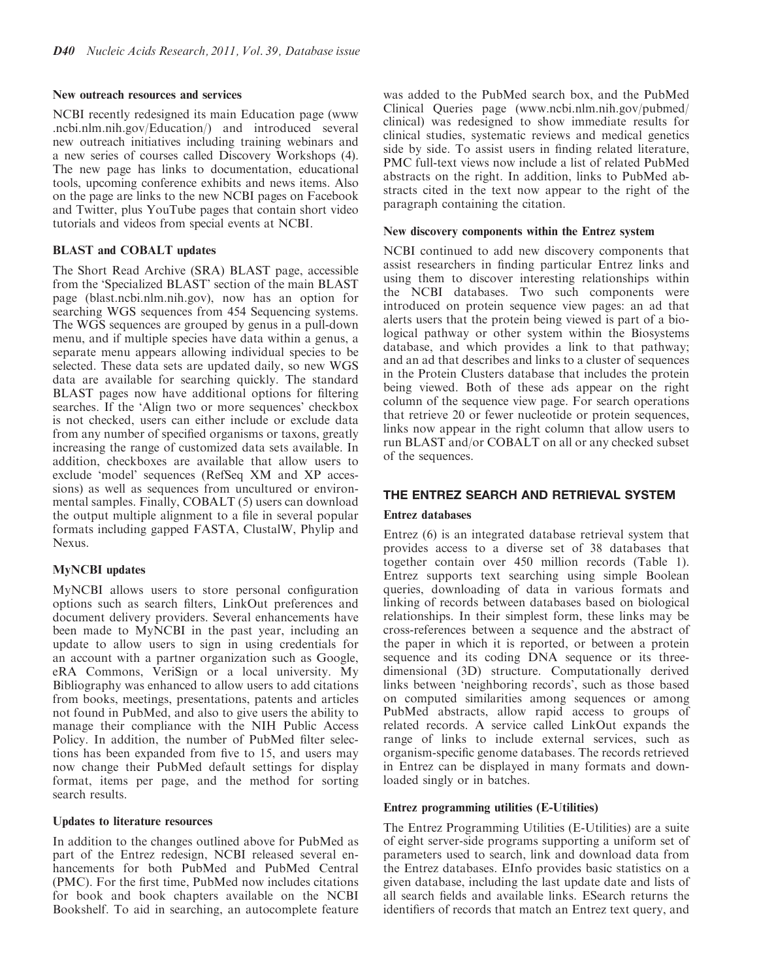## New outreach resources and services

NCBI recently redesigned its main Education page (www .ncbi.nlm.nih.gov/Education/) and introduced several new outreach initiatives including training webinars and a new series of courses called Discovery Workshops (4). The new page has links to documentation, educational tools, upcoming conference exhibits and news items. Also on the page are links to the new NCBI pages on Facebook and Twitter, plus YouTube pages that contain short video tutorials and videos from special events at NCBI.

# BLAST and COBALT updates

The Short Read Archive (SRA) BLAST page, accessible from the 'Specialized BLAST' section of the main BLAST page (blast.ncbi.nlm.nih.gov), now has an option for searching WGS sequences from 454 Sequencing systems. The WGS sequences are grouped by genus in a pull-down menu, and if multiple species have data within a genus, a separate menu appears allowing individual species to be selected. These data sets are updated daily, so new WGS data are available for searching quickly. The standard BLAST pages now have additional options for filtering searches. If the 'Align two or more sequences' checkbox is not checked, users can either include or exclude data from any number of specified organisms or taxons, greatly increasing the range of customized data sets available. In addition, checkboxes are available that allow users to exclude 'model' sequences (RefSeq XM and XP accessions) as well as sequences from uncultured or environmental samples. Finally, COBALT (5) users can download the output multiple alignment to a file in several popular formats including gapped FASTA, ClustalW, Phylip and Nexus.

# MyNCBI updates

MyNCBI allows users to store personal configuration options such as search filters, LinkOut preferences and document delivery providers. Several enhancements have been made to MyNCBI in the past year, including an update to allow users to sign in using credentials for an account with a partner organization such as Google, eRA Commons, VeriSign or a local university. My Bibliography was enhanced to allow users to add citations from books, meetings, presentations, patents and articles not found in PubMed, and also to give users the ability to manage their compliance with the NIH Public Access Policy. In addition, the number of PubMed filter selections has been expanded from five to 15, and users may now change their PubMed default settings for display format, items per page, and the method for sorting search results.

## Updates to literature resources

In addition to the changes outlined above for PubMed as part of the Entrez redesign, NCBI released several enhancements for both PubMed and PubMed Central (PMC). For the first time, PubMed now includes citations for book and book chapters available on the NCBI Bookshelf. To aid in searching, an autocomplete feature

was added to the PubMed search box, and the PubMed Clinical Queries page (www.ncbi.nlm.nih.gov/pubmed/ clinical) was redesigned to show immediate results for clinical studies, systematic reviews and medical genetics side by side. To assist users in finding related literature, PMC full-text views now include a list of related PubMed abstracts on the right. In addition, links to PubMed abstracts cited in the text now appear to the right of the paragraph containing the citation.

## New discovery components within the Entrez system

NCBI continued to add new discovery components that assist researchers in finding particular Entrez links and using them to discover interesting relationships within the NCBI databases. Two such components were introduced on protein sequence view pages: an ad that alerts users that the protein being viewed is part of a biological pathway or other system within the Biosystems database, and which provides a link to that pathway; and an ad that describes and links to a cluster of sequences in the Protein Clusters database that includes the protein being viewed. Both of these ads appear on the right column of the sequence view page. For search operations that retrieve 20 or fewer nucleotide or protein sequences, links now appear in the right column that allow users to run BLAST and/or COBALT on all or any checked subset of the sequences.

# THE ENTREZ SEARCH AND RETRIEVAL SYSTEM

## Entrez databases

Entrez (6) is an integrated database retrieval system that provides access to a diverse set of 38 databases that together contain over 450 million records (Table 1). Entrez supports text searching using simple Boolean queries, downloading of data in various formats and linking of records between databases based on biological relationships. In their simplest form, these links may be cross-references between a sequence and the abstract of the paper in which it is reported, or between a protein sequence and its coding DNA sequence or its threedimensional (3D) structure. Computationally derived links between 'neighboring records', such as those based on computed similarities among sequences or among PubMed abstracts, allow rapid access to groups of related records. A service called LinkOut expands the range of links to include external services, such as organism-specific genome databases. The records retrieved in Entrez can be displayed in many formats and downloaded singly or in batches.

## Entrez programming utilities (E-Utilities)

The Entrez Programming Utilities (E-Utilities) are a suite of eight server-side programs supporting a uniform set of parameters used to search, link and download data from the Entrez databases. EInfo provides basic statistics on a given database, including the last update date and lists of all search fields and available links. ESearch returns the identifiers of records that match an Entrez text query, and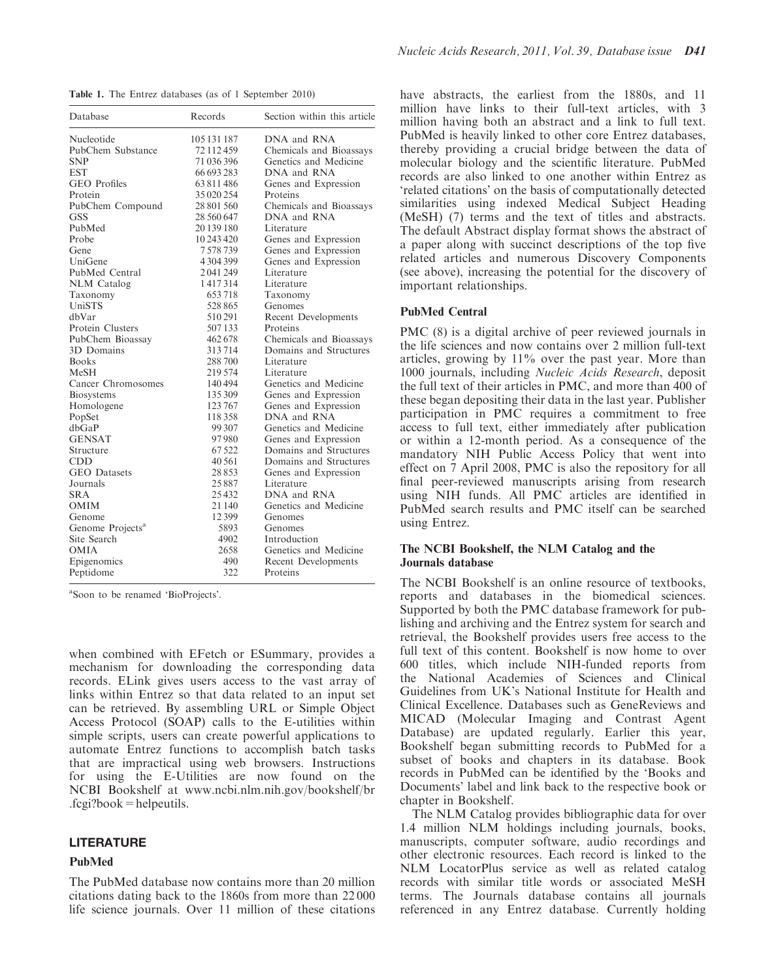Table 1. The Entrez databases (as of 1 September 2010)

| Database                     | Records     | Section within this article |
|------------------------------|-------------|-----------------------------|
| Nucleotide                   | 105 131 187 | DNA and RNA                 |
| PubChem Substance            | 72 112 459  | Chemicals and Bioassays     |
| <b>SNP</b>                   | 71 036 396  | Genetics and Medicine       |
| <b>EST</b>                   | 66 693 283  | DNA and RNA                 |
| <b>GEO</b> Profiles          | 63811486    | Genes and Expression        |
| Protein                      | 35 020 254  | Proteins                    |
| PubChem Compound             | 28 801 560  | Chemicals and Bioassays     |
| GSS                          | 28 560 647  | DNA and RNA                 |
| PubMed                       | 20 139 180  | Literature                  |
| Probe                        | 10 243 420  | Genes and Expression        |
| Gene                         | 7578739     | Genes and Expression        |
| UniGene                      | 4304399     | Genes and Expression        |
| PubMed Central               | 2041249     | Literature                  |
| <b>NLM</b> Catalog           | 1417314     | Literature                  |
| Taxonomy                     | 653718      | Taxonomy                    |
| UniSTS                       | 528865      | Genomes                     |
| dbVar                        | 510291      | Recent Developments         |
| Protein Clusters             | 507133      | Proteins                    |
| PubChem Bioassay             | 462678      | Chemicals and Bioassays     |
| 3D Domains                   | 313714      | Domains and Structures      |
| <b>Books</b>                 | 288700      | Literature                  |
| <b>MeSH</b>                  | 219 574     | Literature                  |
| Cancer Chromosomes           | 140494      | Genetics and Medicine       |
| <b>Biosystems</b>            | 135 309     | Genes and Expression        |
| Homologene                   | 123767      | Genes and Expression        |
| PopSet                       | 118358      | DNA and RNA                 |
| dbGaP                        | 99 307      | Genetics and Medicine       |
| <b>GENSAT</b>                | 97980       | Genes and Expression        |
| Structure                    | 67522       | Domains and Structures      |
| CDD                          | 40 5 61     | Domains and Structures      |
| <b>GEO</b> Datasets          | 28853       | Genes and Expression        |
| Journals                     | 25887       | Literature                  |
| <b>SRA</b>                   | 25432       | DNA and RNA                 |
| <b>OMIM</b>                  | 21 140      | Genetics and Medicine       |
| Genome                       | 12399       | Genomes                     |
| Genome Projects <sup>a</sup> | 5893        | Genomes                     |
| Site Search                  | 4902        | Introduction                |
| <b>OMIA</b>                  | 2658        | Genetics and Medicine       |
| Epigenomics                  | 490         | <b>Recent Developments</b>  |
| Peptidome                    | 322         | Proteins                    |

a Soon to be renamed 'BioProjects'.

when combined with EFetch or ESummary, provides a mechanism for downloading the corresponding data records. ELink gives users access to the vast array of links within Entrez so that data related to an input set can be retrieved. By assembling URL or Simple Object Access Protocol (SOAP) calls to the E-utilities within simple scripts, users can create powerful applications to automate Entrez functions to accomplish batch tasks that are impractical using web browsers. Instructions for using the E-Utilities are now found on the NCBI Bookshelf at www.ncbi.nlm.nih.gov/bookshelf/br  $f$ cgi?book = helpeutils.

## LITERATURE

#### PubMed

The PubMed database now contains more than 20 million citations dating back to the 1860s from more than 22 000 life science journals. Over 11 million of these citations have abstracts, the earliest from the 1880s, and 11 million have links to their full-text articles, with 3 million having both an abstract and a link to full text. PubMed is heavily linked to other core Entrez databases, thereby providing a crucial bridge between the data of molecular biology and the scientific literature. PubMed records are also linked to one another within Entrez as 'related citations' on the basis of computationally detected similarities using indexed Medical Subject Heading (MeSH) (7) terms and the text of titles and abstracts. The default Abstract display format shows the abstract of a paper along with succinct descriptions of the top five related articles and numerous Discovery Components (see above), increasing the potential for the discovery of important relationships.

# PubMed Central

PMC (8) is a digital archive of peer reviewed journals in the life sciences and now contains over 2 million full-text articles, growing by  $11\%$  over the past year. More than 1000 journals, including Nucleic Acids Research, deposit the full text of their articles in PMC, and more than 400 of these began depositing their data in the last year. Publisher participation in PMC requires a commitment to free access to full text, either immediately after publication or within a 12-month period. As a consequence of the mandatory NIH Public Access Policy that went into effect on 7 April 2008, PMC is also the repository for all final peer-reviewed manuscripts arising from research using NIH funds. All PMC articles are identified in PubMed search results and PMC itself can be searched using Entrez.

#### The NCBI Bookshelf, the NLM Catalog and the Journals database

The NCBI Bookshelf is an online resource of textbooks, reports and databases in the biomedical sciences. Supported by both the PMC database framework for publishing and archiving and the Entrez system for search and retrieval, the Bookshelf provides users free access to the full text of this content. Bookshelf is now home to over 600 titles, which include NIH-funded reports from the National Academies of Sciences and Clinical Guidelines from UK's National Institute for Health and Clinical Excellence. Databases such as GeneReviews and MICAD (Molecular Imaging and Contrast Agent Database) are updated regularly. Earlier this year, Bookshelf began submitting records to PubMed for a subset of books and chapters in its database. Book records in PubMed can be identified by the 'Books and Documents' label and link back to the respective book or chapter in Bookshelf.

The NLM Catalog provides bibliographic data for over 1.4 million NLM holdings including journals, books, manuscripts, computer software, audio recordings and other electronic resources. Each record is linked to the NLM LocatorPlus service as well as related catalog records with similar title words or associated MeSH terms. The Journals database contains all journals referenced in any Entrez database. Currently holding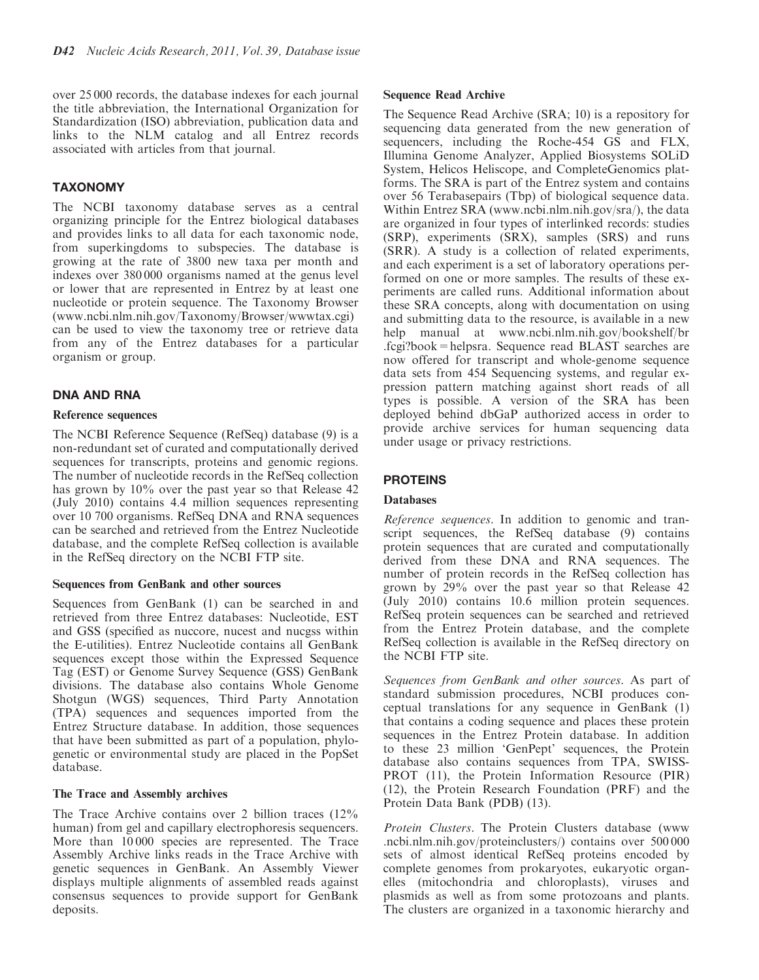over 25 000 records, the database indexes for each journal the title abbreviation, the International Organization for Standardization (ISO) abbreviation, publication data and links to the NLM catalog and all Entrez records associated with articles from that journal.

# TAXONOMY

The NCBI taxonomy database serves as a central organizing principle for the Entrez biological databases and provides links to all data for each taxonomic node, from superkingdoms to subspecies. The database is growing at the rate of 3800 new taxa per month and indexes over 380 000 organisms named at the genus level or lower that are represented in Entrez by at least one nucleotide or protein sequence. The Taxonomy Browser (www.ncbi.nlm.nih.gov/Taxonomy/Browser/wwwtax.cgi) can be used to view the taxonomy tree or retrieve data from any of the Entrez databases for a particular organism or group.

# DNA AND RNA

# Reference sequences

The NCBI Reference Sequence (RefSeq) database (9) is a non-redundant set of curated and computationally derived sequences for transcripts, proteins and genomic regions. The number of nucleotide records in the RefSeq collection has grown by 10% over the past year so that Release 42 (July 2010) contains 4.4 million sequences representing over 10 700 organisms. RefSeq DNA and RNA sequences can be searched and retrieved from the Entrez Nucleotide database, and the complete RefSeq collection is available in the RefSeq directory on the NCBI FTP site.

# Sequences from GenBank and other sources

Sequences from GenBank (1) can be searched in and retrieved from three Entrez databases: Nucleotide, EST and GSS (specified as nuccore, nucest and nucgss within the E-utilities). Entrez Nucleotide contains all GenBank sequences except those within the Expressed Sequence Tag (EST) or Genome Survey Sequence (GSS) GenBank divisions. The database also contains Whole Genome Shotgun (WGS) sequences, Third Party Annotation (TPA) sequences and sequences imported from the Entrez Structure database. In addition, those sequences that have been submitted as part of a population, phylogenetic or environmental study are placed in the PopSet database.

## The Trace and Assembly archives

The Trace Archive contains over 2 billion traces (12% human) from gel and capillary electrophoresis sequencers. More than 10 000 species are represented. The Trace Assembly Archive links reads in the Trace Archive with genetic sequences in GenBank. An Assembly Viewer displays multiple alignments of assembled reads against consensus sequences to provide support for GenBank deposits.

## Sequence Read Archive

The Sequence Read Archive (SRA; 10) is a repository for sequencing data generated from the new generation of sequencers, including the Roche-454 GS and FLX, Illumina Genome Analyzer, Applied Biosystems SOLiD System, Helicos Heliscope, and CompleteGenomics platforms. The SRA is part of the Entrez system and contains over 56 Terabasepairs (Tbp) of biological sequence data. Within Entrez SRA (www.ncbi.nlm.nih.gov/sra/), the data are organized in four types of interlinked records: studies (SRP), experiments (SRX), samples (SRS) and runs (SRR). A study is a collection of related experiments, and each experiment is a set of laboratory operations performed on one or more samples. The results of these experiments are called runs. Additional information about these SRA concepts, along with documentation on using and submitting data to the resource, is available in a new help manual at www.ncbi.nlm.nih.gov/bookshelf/br .fcgi?book=helpsra. Sequence read BLAST searches are now offered for transcript and whole-genome sequence data sets from 454 Sequencing systems, and regular expression pattern matching against short reads of all types is possible. A version of the SRA has been deployed behind dbGaP authorized access in order to provide archive services for human sequencing data under usage or privacy restrictions.

# PROTEINS

# Databases

Reference sequences. In addition to genomic and transcript sequences, the RefSeq database (9) contains protein sequences that are curated and computationally derived from these DNA and RNA sequences. The number of protein records in the RefSeq collection has grown by 29% over the past year so that Release 42 (July 2010) contains 10.6 million protein sequences. RefSeq protein sequences can be searched and retrieved from the Entrez Protein database, and the complete RefSeq collection is available in the RefSeq directory on the NCBI FTP site.

Sequences from GenBank and other sources. As part of standard submission procedures, NCBI produces conceptual translations for any sequence in GenBank (1) that contains a coding sequence and places these protein sequences in the Entrez Protein database. In addition to these 23 million 'GenPept' sequences, the Protein database also contains sequences from TPA, SWISS-PROT (11), the Protein Information Resource (PIR) (12), the Protein Research Foundation (PRF) and the Protein Data Bank (PDB) (13).

Protein Clusters. The Protein Clusters database (www .ncbi.nlm.nih.gov/proteinclusters/) contains over 500 000 sets of almost identical RefSeq proteins encoded by complete genomes from prokaryotes, eukaryotic organelles (mitochondria and chloroplasts), viruses and plasmids as well as from some protozoans and plants. The clusters are organized in a taxonomic hierarchy and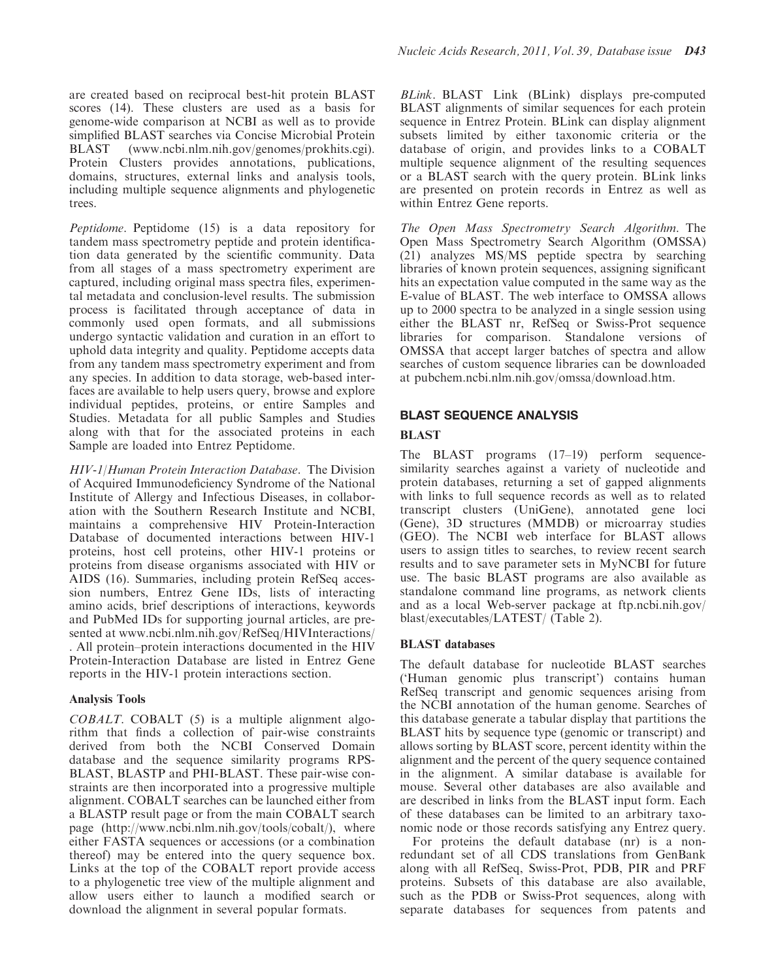are created based on reciprocal best-hit protein BLAST scores (14). These clusters are used as a basis for genome-wide comparison at NCBI as well as to provide simplified BLAST searches via Concise Microbial Protein BLAST (www.ncbi.nlm.nih.gov/genomes/prokhits.cgi). Protein Clusters provides annotations, publications, domains, structures, external links and analysis tools, including multiple sequence alignments and phylogenetic trees.

Peptidome. Peptidome (15) is a data repository for tandem mass spectrometry peptide and protein identification data generated by the scientific community. Data from all stages of a mass spectrometry experiment are captured, including original mass spectra files, experimental metadata and conclusion-level results. The submission process is facilitated through acceptance of data in commonly used open formats, and all submissions undergo syntactic validation and curation in an effort to uphold data integrity and quality. Peptidome accepts data from any tandem mass spectrometry experiment and from any species. In addition to data storage, web-based interfaces are available to help users query, browse and explore individual peptides, proteins, or entire Samples and Studies. Metadata for all public Samples and Studies along with that for the associated proteins in each Sample are loaded into Entrez Peptidome.

HIV-1/Human Protein Interaction Database. The Division of Acquired Immunodeficiency Syndrome of the National Institute of Allergy and Infectious Diseases, in collaboration with the Southern Research Institute and NCBI, maintains a comprehensive HIV Protein-Interaction Database of documented interactions between HIV-1 proteins, host cell proteins, other HIV-1 proteins or proteins from disease organisms associated with HIV or AIDS (16). Summaries, including protein RefSeq accession numbers, Entrez Gene IDs, lists of interacting amino acids, brief descriptions of interactions, keywords and PubMed IDs for supporting journal articles, are presented at www.ncbi.nlm.nih.gov/RefSeq/HIVInteractions/ . All protein–protein interactions documented in the HIV Protein-Interaction Database are listed in Entrez Gene reports in the HIV-1 protein interactions section.

## Analysis Tools

 $COBALT$ . COBALT  $(5)$  is a multiple alignment algorithm that finds a collection of pair-wise constraints derived from both the NCBI Conserved Domain database and the sequence similarity programs RPS-BLAST, BLASTP and PHI-BLAST. These pair-wise constraints are then incorporated into a progressive multiple alignment. COBALT searches can be launched either from a BLASTP result page or from the main COBALT search page (http://www.ncbi.nlm.nih.gov/tools/cobalt/), where either FASTA sequences or accessions (or a combination thereof) may be entered into the query sequence box. Links at the top of the COBALT report provide access to a phylogenetic tree view of the multiple alignment and allow users either to launch a modified search or download the alignment in several popular formats.

BLink. BLAST Link (BLink) displays pre-computed BLAST alignments of similar sequences for each protein sequence in Entrez Protein. BLink can display alignment subsets limited by either taxonomic criteria or the database of origin, and provides links to a COBALT multiple sequence alignment of the resulting sequences or a BLAST search with the query protein. BLink links are presented on protein records in Entrez as well as within Entrez Gene reports.

The Open Mass Spectrometry Search Algorithm. The Open Mass Spectrometry Search Algorithm (OMSSA) (21) analyzes MS/MS peptide spectra by searching libraries of known protein sequences, assigning significant hits an expectation value computed in the same way as the E-value of BLAST. The web interface to OMSSA allows up to 2000 spectra to be analyzed in a single session using either the BLAST nr, RefSeq or Swiss-Prot sequence libraries for comparison. Standalone versions of OMSSA that accept larger batches of spectra and allow searches of custom sequence libraries can be downloaded at pubchem.ncbi.nlm.nih.gov/omssa/download.htm.

# BLAST SEQUENCE ANALYSIS

# **BLAST**

The BLAST programs (17–19) perform sequencesimilarity searches against a variety of nucleotide and protein databases, returning a set of gapped alignments with links to full sequence records as well as to related transcript clusters (UniGene), annotated gene loci (Gene), 3D structures (MMDB) or microarray studies (GEO). The NCBI web interface for BLAST allows users to assign titles to searches, to review recent search results and to save parameter sets in MyNCBI for future use. The basic BLAST programs are also available as standalone command line programs, as network clients and as a local Web-server package at ftp.ncbi.nih.gov/ blast/executables/LATEST/ (Table 2).

# BLAST databases

The default database for nucleotide BLAST searches ('Human genomic plus transcript') contains human RefSeq transcript and genomic sequences arising from the NCBI annotation of the human genome. Searches of this database generate a tabular display that partitions the BLAST hits by sequence type (genomic or transcript) and allows sorting by BLAST score, percent identity within the alignment and the percent of the query sequence contained in the alignment. A similar database is available for mouse. Several other databases are also available and are described in links from the BLAST input form. Each of these databases can be limited to an arbitrary taxonomic node or those records satisfying any Entrez query.

For proteins the default database (nr) is a nonredundant set of all CDS translations from GenBank along with all RefSeq, Swiss-Prot, PDB, PIR and PRF proteins. Subsets of this database are also available, such as the PDB or Swiss-Prot sequences, along with separate databases for sequences from patents and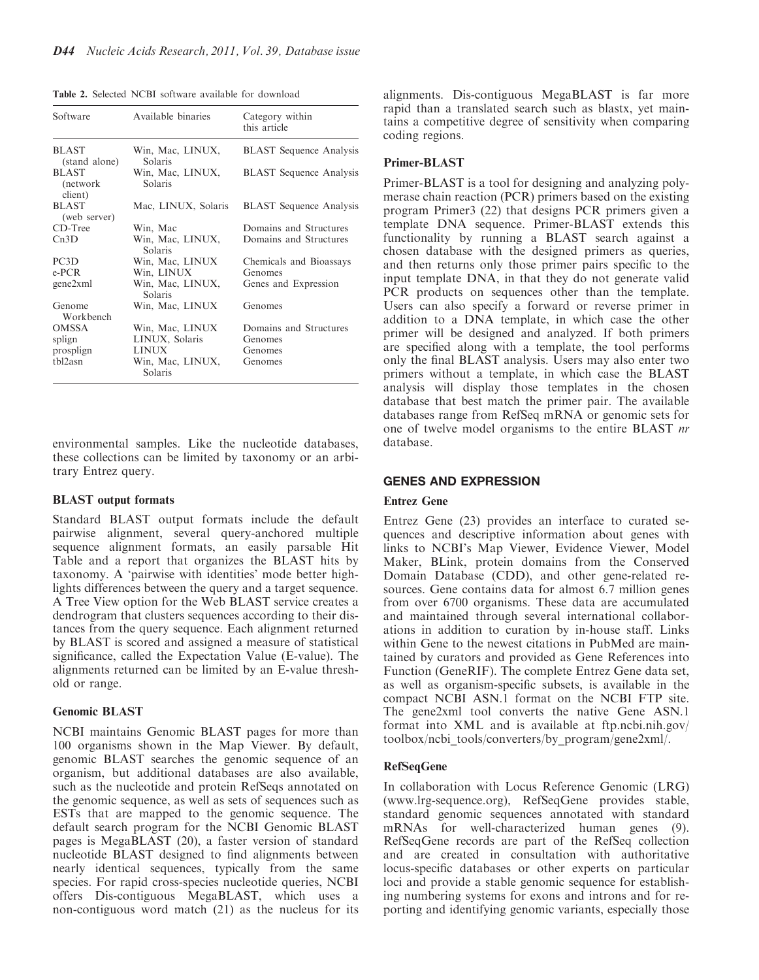Table 2. Selected NCBI software available for download

| Software                             | Available binaries          | Category within<br>this article |
|--------------------------------------|-----------------------------|---------------------------------|
| <b>BLAST</b><br>(stand alone)        | Win, Mac, LINUX,<br>Solaris | <b>BLAST</b> Sequence Analysis  |
| <b>BLAST</b><br>(network)<br>client) | Win, Mac, LINUX,<br>Solaris | <b>BLAST</b> Sequence Analysis  |
| <b>BLAST</b><br>(web server)         | Mac, LINUX, Solaris         | <b>BLAST</b> Sequence Analysis  |
| $CD-Tree$                            | Win, Mac                    | Domains and Structures          |
| Cn3D                                 | Win, Mac, LINUX,<br>Solaris | Domains and Structures          |
| PC <sub>3</sub> D                    | Win, Mac, LINUX             | Chemicals and Bioassays         |
| $e$ -PCR                             | Win, LINUX                  | Genomes                         |
| gene2xml                             | Win, Mac, LINUX,<br>Solaris | Genes and Expression            |
| Genome<br>Workbench                  | Win, Mac, LINUX             | Genomes                         |
| <b>OMSSA</b>                         | Win, Mac, LINUX             | Domains and Structures          |
| splign                               | LINUX, Solaris              | Genomes                         |
| prosplign                            | <b>LINUX</b>                | Genomes                         |
| tbl2asn                              | Win, Mac, LINUX,<br>Solaris | Genomes                         |

environmental samples. Like the nucleotide databases, these collections can be limited by taxonomy or an arbitrary Entrez query.

## BLAST output formats

Standard BLAST output formats include the default pairwise alignment, several query-anchored multiple sequence alignment formats, an easily parsable Hit Table and a report that organizes the BLAST hits by taxonomy. A 'pairwise with identities' mode better highlights differences between the query and a target sequence. A Tree View option for the Web BLAST service creates a dendrogram that clusters sequences according to their distances from the query sequence. Each alignment returned by BLAST is scored and assigned a measure of statistical significance, called the Expectation Value (E-value). The alignments returned can be limited by an E-value threshold or range.

#### Genomic BLAST

NCBI maintains Genomic BLAST pages for more than 100 organisms shown in the Map Viewer. By default, genomic BLAST searches the genomic sequence of an organism, but additional databases are also available, such as the nucleotide and protein RefSeqs annotated on the genomic sequence, as well as sets of sequences such as ESTs that are mapped to the genomic sequence. The default search program for the NCBI Genomic BLAST pages is MegaBLAST (20), a faster version of standard nucleotide BLAST designed to find alignments between nearly identical sequences, typically from the same species. For rapid cross-species nucleotide queries, NCBI offers Dis-contiguous MegaBLAST, which uses a non-contiguous word match (21) as the nucleus for its alignments. Dis-contiguous MegaBLAST is far more rapid than a translated search such as blastx, yet maintains a competitive degree of sensitivity when comparing coding regions.

#### Primer-BLAST

Primer-BLAST is a tool for designing and analyzing polymerase chain reaction (PCR) primers based on the existing program Primer3 (22) that designs PCR primers given a template DNA sequence. Primer-BLAST extends this functionality by running a BLAST search against a chosen database with the designed primers as queries, and then returns only those primer pairs specific to the input template DNA, in that they do not generate valid PCR products on sequences other than the template. Users can also specify a forward or reverse primer in addition to a DNA template, in which case the other primer will be designed and analyzed. If both primers are specified along with a template, the tool performs only the final BLAST analysis. Users may also enter two primers without a template, in which case the BLAST analysis will display those templates in the chosen database that best match the primer pair. The available databases range from RefSeq mRNA or genomic sets for one of twelve model organisms to the entire BLAST nr database.

## GENES AND EXPRESSION

#### Entrez Gene

Entrez Gene (23) provides an interface to curated sequences and descriptive information about genes with links to NCBI's Map Viewer, Evidence Viewer, Model Maker, BLink, protein domains from the Conserved Domain Database (CDD), and other gene-related resources. Gene contains data for almost 6.7 million genes from over 6700 organisms. These data are accumulated and maintained through several international collaborations in addition to curation by in-house staff. Links within Gene to the newest citations in PubMed are maintained by curators and provided as Gene References into Function (GeneRIF). The complete Entrez Gene data set, as well as organism-specific subsets, is available in the compact NCBI ASN.1 format on the NCBI FTP site. The gene2xml tool converts the native Gene ASN.1 format into XML and is available at ftp.ncbi.nih.gov/ toolbox/ncbi\_tools/converters/by\_program/gene2xml/.

#### RefSeqGene

In collaboration with Locus Reference Genomic (LRG) (www.lrg-sequence.org), RefSeqGene provides stable, standard genomic sequences annotated with standard mRNAs for well-characterized human genes (9). RefSeqGene records are part of the RefSeq collection and are created in consultation with authoritative locus-specific databases or other experts on particular loci and provide a stable genomic sequence for establishing numbering systems for exons and introns and for reporting and identifying genomic variants, especially those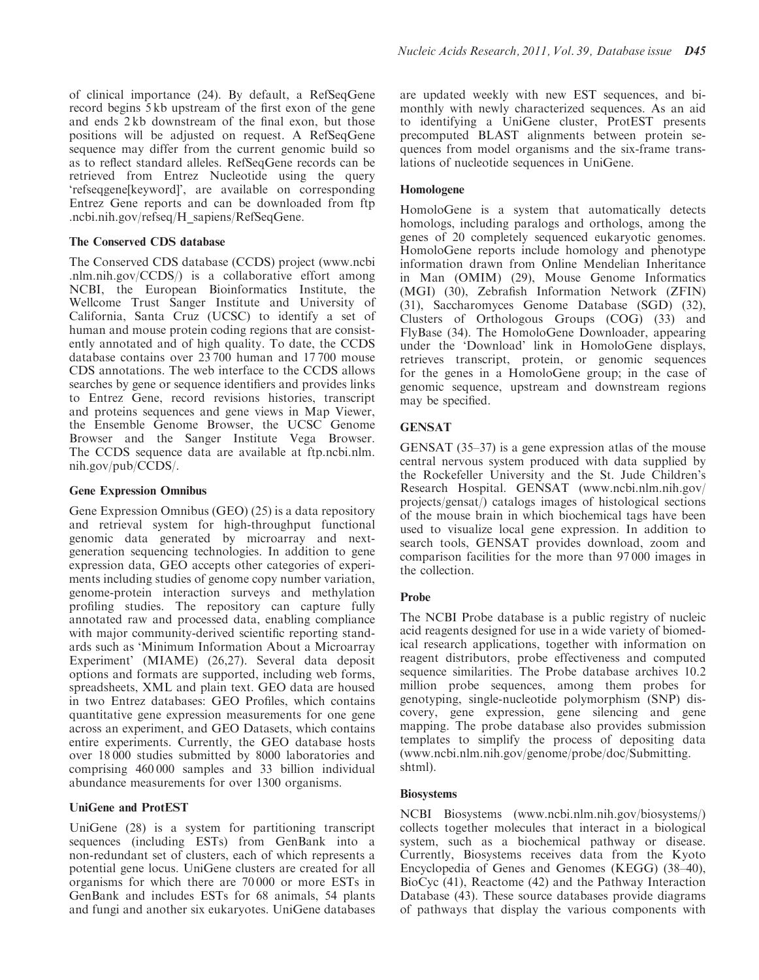of clinical importance (24). By default, a RefSeqGene record begins 5 kb upstream of the first exon of the gene and ends 2 kb downstream of the final exon, but those positions will be adjusted on request. A RefSeqGene sequence may differ from the current genomic build so as to reflect standard alleles. RefSeqGene records can be retrieved from Entrez Nucleotide using the query 'refseqgene[keyword]', are available on corresponding Entrez Gene reports and can be downloaded from ftp .ncbi.nih.gov/refseq/H\_sapiens/RefSeqGene.

## The Conserved CDS database

The Conserved CDS database (CCDS) project (www.ncbi .nlm.nih.gov/CCDS/) is a collaborative effort among NCBI, the European Bioinformatics Institute, the Wellcome Trust Sanger Institute and University of California, Santa Cruz (UCSC) to identify a set of human and mouse protein coding regions that are consistently annotated and of high quality. To date, the CCDS database contains over 23 700 human and 17 700 mouse CDS annotations. The web interface to the CCDS allows searches by gene or sequence identifiers and provides links to Entrez Gene, record revisions histories, transcript and proteins sequences and gene views in Map Viewer, the Ensemble Genome Browser, the UCSC Genome Browser and the Sanger Institute Vega Browser. The CCDS sequence data are available at ftp.ncbi.nlm. nih.gov/pub/CCDS/.

#### Gene Expression Omnibus

Gene Expression Omnibus (GEO) (25) is a data repository and retrieval system for high-throughput functional genomic data generated by microarray and nextgeneration sequencing technologies. In addition to gene expression data, GEO accepts other categories of experiments including studies of genome copy number variation, genome-protein interaction surveys and methylation profiling studies. The repository can capture fully annotated raw and processed data, enabling compliance with major community-derived scientific reporting standards such as 'Minimum Information About a Microarray Experiment' (MIAME) (26,27). Several data deposit options and formats are supported, including web forms, spreadsheets, XML and plain text. GEO data are housed in two Entrez databases: GEO Profiles, which contains quantitative gene expression measurements for one gene across an experiment, and GEO Datasets, which contains entire experiments. Currently, the GEO database hosts over 18 000 studies submitted by 8000 laboratories and comprising 460 000 samples and 33 billion individual abundance measurements for over 1300 organisms.

#### UniGene and ProtEST

UniGene (28) is a system for partitioning transcript sequences (including ESTs) from GenBank into a non-redundant set of clusters, each of which represents a potential gene locus. UniGene clusters are created for all organisms for which there are 70 000 or more ESTs in GenBank and includes ESTs for 68 animals, 54 plants and fungi and another six eukaryotes. UniGene databases are updated weekly with new EST sequences, and bimonthly with newly characterized sequences. As an aid to identifying a UniGene cluster, ProtEST presents precomputed BLAST alignments between protein sequences from model organisms and the six-frame translations of nucleotide sequences in UniGene.

## Homologene

HomoloGene is a system that automatically detects homologs, including paralogs and orthologs, among the genes of 20 completely sequenced eukaryotic genomes. HomoloGene reports include homology and phenotype information drawn from Online Mendelian Inheritance in Man (OMIM) (29), Mouse Genome Informatics (MGI) (30), Zebrafish Information Network (ZFIN) (31), Saccharomyces Genome Database (SGD) (32), Clusters of Orthologous Groups (COG) (33) and FlyBase (34). The HomoloGene Downloader, appearing under the 'Download' link in HomoloGene displays, retrieves transcript, protein, or genomic sequences for the genes in a HomoloGene group; in the case of genomic sequence, upstream and downstream regions may be specified.

## **GENSAT**

GENSAT (35–37) is a gene expression atlas of the mouse central nervous system produced with data supplied by the Rockefeller University and the St. Jude Children's Research Hospital. GENSAT (www.ncbi.nlm.nih.gov/ projects/gensat/) catalogs images of histological sections of the mouse brain in which biochemical tags have been used to visualize local gene expression. In addition to search tools, GENSAT provides download, zoom and comparison facilities for the more than 97 000 images in the collection.

#### Probe

The NCBI Probe database is a public registry of nucleic acid reagents designed for use in a wide variety of biomedical research applications, together with information on reagent distributors, probe effectiveness and computed sequence similarities. The Probe database archives 10.2 million probe sequences, among them probes for genotyping, single-nucleotide polymorphism (SNP) discovery, gene expression, gene silencing and gene mapping. The probe database also provides submission templates to simplify the process of depositing data (www.ncbi.nlm.nih.gov/genome/probe/doc/Submitting. shtml).

#### **Biosystems**

NCBI Biosystems (www.ncbi.nlm.nih.gov/biosystems/) collects together molecules that interact in a biological system, such as a biochemical pathway or disease. Currently, Biosystems receives data from the Kyoto Encyclopedia of Genes and Genomes (KEGG) (38–40), BioCyc (41), Reactome (42) and the Pathway Interaction Database (43). These source databases provide diagrams of pathways that display the various components with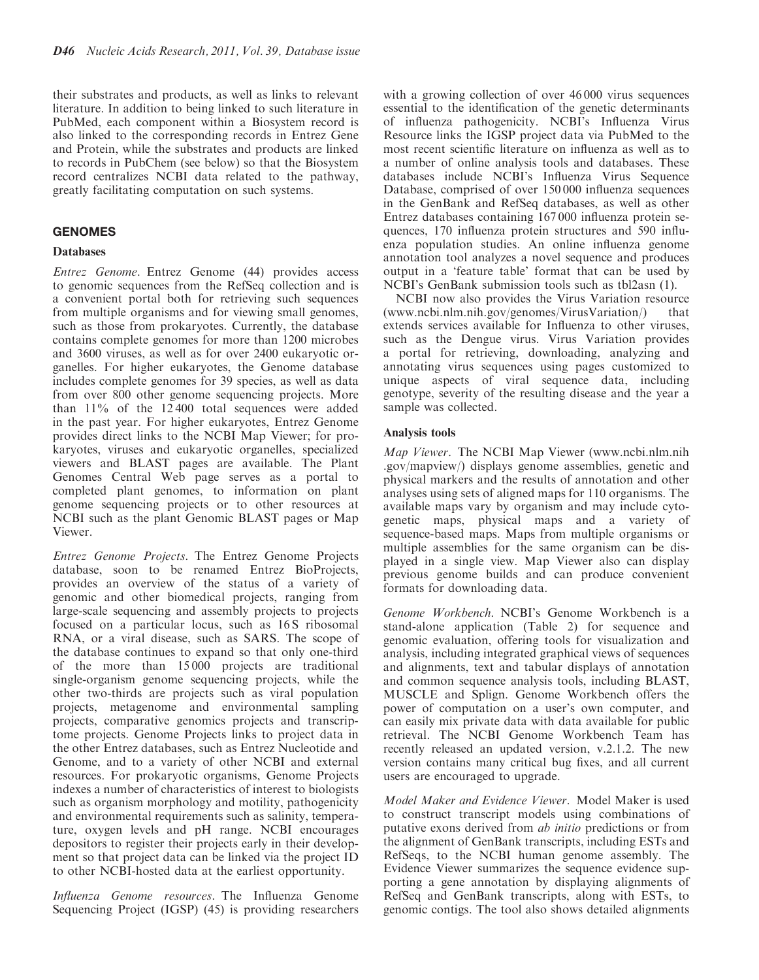their substrates and products, as well as links to relevant literature. In addition to being linked to such literature in PubMed, each component within a Biosystem record is also linked to the corresponding records in Entrez Gene and Protein, while the substrates and products are linked to records in PubChem (see below) so that the Biosystem record centralizes NCBI data related to the pathway, greatly facilitating computation on such systems.

# GENOMES

# Databases

Entrez Genome. Entrez Genome (44) provides access to genomic sequences from the RefSeq collection and is a convenient portal both for retrieving such sequences from multiple organisms and for viewing small genomes, such as those from prokaryotes. Currently, the database contains complete genomes for more than 1200 microbes and 3600 viruses, as well as for over 2400 eukaryotic organelles. For higher eukaryotes, the Genome database includes complete genomes for 39 species, as well as data from over 800 other genome sequencing projects. More than 11% of the 12 400 total sequences were added in the past year. For higher eukaryotes, Entrez Genome provides direct links to the NCBI Map Viewer; for prokaryotes, viruses and eukaryotic organelles, specialized viewers and BLAST pages are available. The Plant Genomes Central Web page serves as a portal to completed plant genomes, to information on plant genome sequencing projects or to other resources at NCBI such as the plant Genomic BLAST pages or Map Viewer.

Entrez Genome Projects. The Entrez Genome Projects database, soon to be renamed Entrez BioProjects, provides an overview of the status of a variety of genomic and other biomedical projects, ranging from large-scale sequencing and assembly projects to projects focused on a particular locus, such as 16S ribosomal RNA, or a viral disease, such as SARS. The scope of the database continues to expand so that only one-third of the more than 15 000 projects are traditional single-organism genome sequencing projects, while the other two-thirds are projects such as viral population projects, metagenome and environmental sampling projects, comparative genomics projects and transcriptome projects. Genome Projects links to project data in the other Entrez databases, such as Entrez Nucleotide and Genome, and to a variety of other NCBI and external resources. For prokaryotic organisms, Genome Projects indexes a number of characteristics of interest to biologists such as organism morphology and motility, pathogenicity and environmental requirements such as salinity, temperature, oxygen levels and pH range. NCBI encourages depositors to register their projects early in their development so that project data can be linked via the project ID to other NCBI-hosted data at the earliest opportunity.

Influenza Genome resources. The Influenza Genome Sequencing Project (IGSP) (45) is providing researchers with a growing collection of over 46000 virus sequences essential to the identification of the genetic determinants of influenza pathogenicity. NCBI's Influenza Virus Resource links the IGSP project data via PubMed to the most recent scientific literature on influenza as well as to a number of online analysis tools and databases. These databases include NCBI's Influenza Virus Sequence Database, comprised of over 150 000 influenza sequences in the GenBank and RefSeq databases, as well as other Entrez databases containing 167 000 influenza protein sequences, 170 influenza protein structures and 590 influenza population studies. An online influenza genome annotation tool analyzes a novel sequence and produces output in a 'feature table' format that can be used by NCBI's GenBank submission tools such as tbl2asn (1).

NCBI now also provides the Virus Variation resource  $(www.ncbi.nlm.nih.gov/genomes/VirusVariation)$  that extends services available for Influenza to other viruses, such as the Dengue virus. Virus Variation provides a portal for retrieving, downloading, analyzing and annotating virus sequences using pages customized to unique aspects of viral sequence data, including genotype, severity of the resulting disease and the year a sample was collected.

## Analysis tools

Map Viewer. The NCBI Map Viewer (www.ncbi.nlm.nih .gov/mapview/) displays genome assemblies, genetic and physical markers and the results of annotation and other analyses using sets of aligned maps for 110 organisms. The available maps vary by organism and may include cytogenetic maps, physical maps and a variety of sequence-based maps. Maps from multiple organisms or multiple assemblies for the same organism can be displayed in a single view. Map Viewer also can display previous genome builds and can produce convenient formats for downloading data.

Genome Workbench. NCBI's Genome Workbench is a stand-alone application (Table 2) for sequence and genomic evaluation, offering tools for visualization and analysis, including integrated graphical views of sequences and alignments, text and tabular displays of annotation and common sequence analysis tools, including BLAST, MUSCLE and Splign. Genome Workbench offers the power of computation on a user's own computer, and can easily mix private data with data available for public retrieval. The NCBI Genome Workbench Team has recently released an updated version, v.2.1.2. The new version contains many critical bug fixes, and all current users are encouraged to upgrade.

Model Maker and Evidence Viewer. Model Maker is used to construct transcript models using combinations of putative exons derived from ab initio predictions or from the alignment of GenBank transcripts, including ESTs and RefSeqs, to the NCBI human genome assembly. The Evidence Viewer summarizes the sequence evidence supporting a gene annotation by displaying alignments of RefSeq and GenBank transcripts, along with ESTs, to genomic contigs. The tool also shows detailed alignments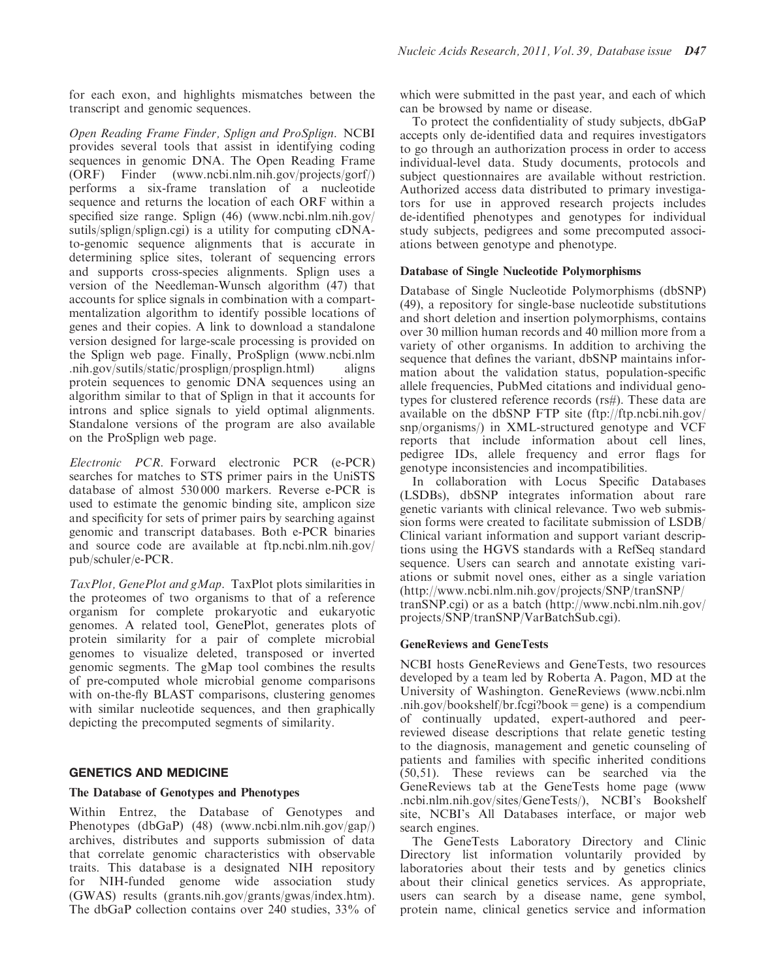for each exon, and highlights mismatches between the transcript and genomic sequences.

Open Reading Frame Finder, Splign and ProSplign. NCBI provides several tools that assist in identifying coding sequences in genomic DNA. The Open Reading Frame (ORF) Finder (www.ncbi.nlm.nih.gov/projects/gorf/) performs a six-frame translation of a nucleotide sequence and returns the location of each ORF within a specified size range. Splign (46) (www.ncbi.nlm.nih.gov/ sutils/splign/splign.cgi) is a utility for computing cDNAto-genomic sequence alignments that is accurate in determining splice sites, tolerant of sequencing errors and supports cross-species alignments. Splign uses a version of the Needleman-Wunsch algorithm (47) that accounts for splice signals in combination with a compartmentalization algorithm to identify possible locations of genes and their copies. A link to download a standalone version designed for large-scale processing is provided on the Splign web page. Finally, ProSplign (www.ncbi.nlm .nih.gov/sutils/static/prosplign/prosplign.html) aligns protein sequences to genomic DNA sequences using an algorithm similar to that of Splign in that it accounts for introns and splice signals to yield optimal alignments. Standalone versions of the program are also available on the ProSplign web page.

Electronic PCR. Forward electronic PCR (e-PCR) searches for matches to STS primer pairs in the UniSTS database of almost 530 000 markers. Reverse e-PCR is used to estimate the genomic binding site, amplicon size and specificity for sets of primer pairs by searching against genomic and transcript databases. Both e-PCR binaries and source code are available at ftp.ncbi.nlm.nih.gov/ pub/schuler/e-PCR.

TaxPlot, GenePlot and gMap. TaxPlot plots similarities in the proteomes of two organisms to that of a reference organism for complete prokaryotic and eukaryotic genomes. A related tool, GenePlot, generates plots of protein similarity for a pair of complete microbial genomes to visualize deleted, transposed or inverted genomic segments. The gMap tool combines the results of pre-computed whole microbial genome comparisons with on-the-fly BLAST comparisons, clustering genomes with similar nucleotide sequences, and then graphically depicting the precomputed segments of similarity.

# GENETICS AND MEDICINE

## The Database of Genotypes and Phenotypes

Within Entrez, the Database of Genotypes and Phenotypes (dbGaP) (48) (www.ncbi.nlm.nih.gov/gap/) archives, distributes and supports submission of data that correlate genomic characteristics with observable traits. This database is a designated NIH repository for NIH-funded genome wide association study (GWAS) results (grants.nih.gov/grants/gwas/index.htm). The dbGaP collection contains over 240 studies, 33% of which were submitted in the past year, and each of which can be browsed by name or disease.

To protect the confidentiality of study subjects, dbGaP accepts only de-identified data and requires investigators to go through an authorization process in order to access individual-level data. Study documents, protocols and subject questionnaires are available without restriction. Authorized access data distributed to primary investigators for use in approved research projects includes de-identified phenotypes and genotypes for individual study subjects, pedigrees and some precomputed associations between genotype and phenotype.

## Database of Single Nucleotide Polymorphisms

Database of Single Nucleotide Polymorphisms (dbSNP) (49), a repository for single-base nucleotide substitutions and short deletion and insertion polymorphisms, contains over 30 million human records and 40 million more from a variety of other organisms. In addition to archiving the sequence that defines the variant, dbSNP maintains information about the validation status, population-specific allele frequencies, PubMed citations and individual genotypes for clustered reference records (rs#). These data are available on the dbSNP FTP site (ftp://ftp.ncbi.nih.gov/ snp/organisms/) in XML-structured genotype and VCF reports that include information about cell lines, pedigree IDs, allele frequency and error flags for genotype inconsistencies and incompatibilities.

In collaboration with Locus Specific Databases (LSDBs), dbSNP integrates information about rare genetic variants with clinical relevance. Two web submission forms were created to facilitate submission of LSDB/ Clinical variant information and support variant descriptions using the HGVS standards with a RefSeq standard sequence. Users can search and annotate existing variations or submit novel ones, either as a single variation (http://www.ncbi.nlm.nih.gov/projects/SNP/tranSNP/ tranSNP.cgi) or as a batch (http://www.ncbi.nlm.nih.gov/ projects/SNP/tranSNP/VarBatchSub.cgi).

# GeneReviews and GeneTests

NCBI hosts GeneReviews and GeneTests, two resources developed by a team led by Roberta A. Pagon, MD at the University of Washington. GeneReviews (www.ncbi.nlm .nih.gov/bookshelf/br.fcgi?book=gene) is a compendium of continually updated, expert-authored and peerreviewed disease descriptions that relate genetic testing to the diagnosis, management and genetic counseling of patients and families with specific inherited conditions (50,51). These reviews can be searched via the GeneReviews tab at the GeneTests home page (www .ncbi.nlm.nih.gov/sites/GeneTests/), NCBI's Bookshelf site, NCBI's All Databases interface, or major web search engines.

The GeneTests Laboratory Directory and Clinic Directory list information voluntarily provided by laboratories about their tests and by genetics clinics about their clinical genetics services. As appropriate, users can search by a disease name, gene symbol, protein name, clinical genetics service and information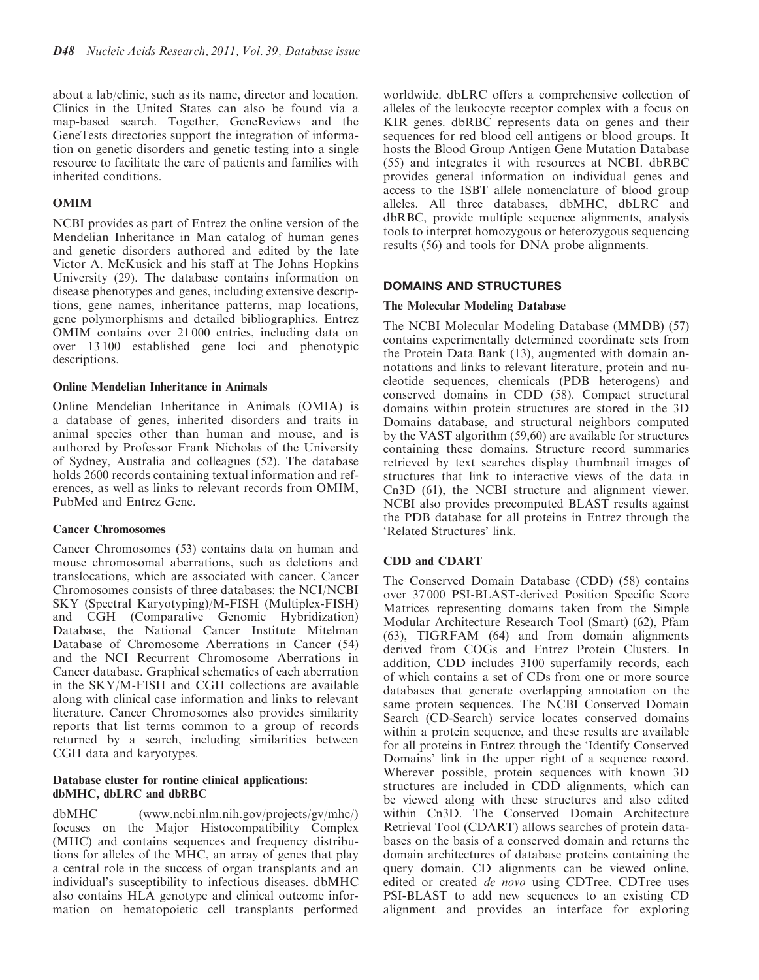about a lab/clinic, such as its name, director and location. Clinics in the United States can also be found via a map-based search. Together, GeneReviews and the GeneTests directories support the integration of information on genetic disorders and genetic testing into a single resource to facilitate the care of patients and families with inherited conditions.

# **OMIM**

NCBI provides as part of Entrez the online version of the Mendelian Inheritance in Man catalog of human genes and genetic disorders authored and edited by the late Victor A. McKusick and his staff at The Johns Hopkins University (29). The database contains information on disease phenotypes and genes, including extensive descriptions, gene names, inheritance patterns, map locations, gene polymorphisms and detailed bibliographies. Entrez OMIM contains over 21 000 entries, including data on over 13 100 established gene loci and phenotypic descriptions.

# Online Mendelian Inheritance in Animals

Online Mendelian Inheritance in Animals (OMIA) is a database of genes, inherited disorders and traits in animal species other than human and mouse, and is authored by Professor Frank Nicholas of the University of Sydney, Australia and colleagues (52). The database holds 2600 records containing textual information and references, as well as links to relevant records from OMIM, PubMed and Entrez Gene.

# Cancer Chromosomes

Cancer Chromosomes (53) contains data on human and mouse chromosomal aberrations, such as deletions and translocations, which are associated with cancer. Cancer Chromosomes consists of three databases: the NCI/NCBI SKY (Spectral Karyotyping)/M-FISH (Multiplex-FISH) and CGH (Comparative Genomic Hybridization) Database, the National Cancer Institute Mitelman Database of Chromosome Aberrations in Cancer (54) and the NCI Recurrent Chromosome Aberrations in Cancer database. Graphical schematics of each aberration in the SKY/M-FISH and CGH collections are available along with clinical case information and links to relevant literature. Cancer Chromosomes also provides similarity reports that list terms common to a group of records returned by a search, including similarities between CGH data and karyotypes.

## Database cluster for routine clinical applications: dbMHC, dbLRC and dbRBC

dbMHC (www.ncbi.nlm.nih.gov/projects/gv/mhc/) focuses on the Major Histocompatibility Complex (MHC) and contains sequences and frequency distributions for alleles of the MHC, an array of genes that play a central role in the success of organ transplants and an individual's susceptibility to infectious diseases. dbMHC also contains HLA genotype and clinical outcome information on hematopoietic cell transplants performed

worldwide. dbLRC offers a comprehensive collection of alleles of the leukocyte receptor complex with a focus on KIR genes. dbRBC represents data on genes and their sequences for red blood cell antigens or blood groups. It hosts the Blood Group Antigen Gene Mutation Database (55) and integrates it with resources at NCBI. dbRBC provides general information on individual genes and access to the ISBT allele nomenclature of blood group alleles. All three databases, dbMHC, dbLRC and dbRBC, provide multiple sequence alignments, analysis tools to interpret homozygous or heterozygous sequencing results (56) and tools for DNA probe alignments.

# DOMAINS AND STRUCTURES

# The Molecular Modeling Database

The NCBI Molecular Modeling Database (MMDB) (57) contains experimentally determined coordinate sets from the Protein Data Bank (13), augmented with domain annotations and links to relevant literature, protein and nucleotide sequences, chemicals (PDB heterogens) and conserved domains in CDD (58). Compact structural domains within protein structures are stored in the 3D Domains database, and structural neighbors computed by the VAST algorithm (59,60) are available for structures containing these domains. Structure record summaries retrieved by text searches display thumbnail images of structures that link to interactive views of the data in Cn3D (61), the NCBI structure and alignment viewer. NCBI also provides precomputed BLAST results against the PDB database for all proteins in Entrez through the 'Related Structures' link.

# CDD and CDART

The Conserved Domain Database (CDD) (58) contains over 37 000 PSI-BLAST-derived Position Specific Score Matrices representing domains taken from the Simple Modular Architecture Research Tool (Smart) (62), Pfam (63), TIGRFAM (64) and from domain alignments derived from COGs and Entrez Protein Clusters. In addition, CDD includes 3100 superfamily records, each of which contains a set of CDs from one or more source databases that generate overlapping annotation on the same protein sequences. The NCBI Conserved Domain Search (CD-Search) service locates conserved domains within a protein sequence, and these results are available for all proteins in Entrez through the 'Identify Conserved Domains' link in the upper right of a sequence record. Wherever possible, protein sequences with known 3D structures are included in CDD alignments, which can be viewed along with these structures and also edited within Cn3D. The Conserved Domain Architecture Retrieval Tool (CDART) allows searches of protein databases on the basis of a conserved domain and returns the domain architectures of database proteins containing the query domain. CD alignments can be viewed online, edited or created de novo using CDTree. CDTree uses PSI-BLAST to add new sequences to an existing CD alignment and provides an interface for exploring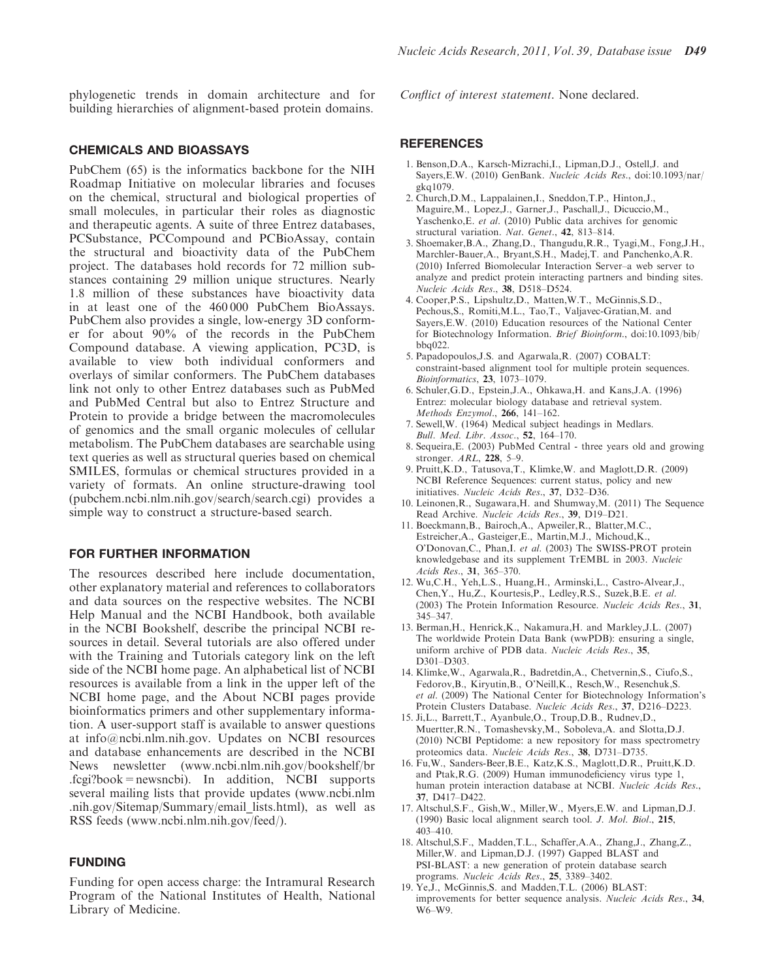phylogenetic trends in domain architecture and for building hierarchies of alignment-based protein domains.

# CHEMICALS AND BIOASSAYS

PubChem (65) is the informatics backbone for the NIH Roadmap Initiative on molecular libraries and focuses on the chemical, structural and biological properties of small molecules, in particular their roles as diagnostic and therapeutic agents. A suite of three Entrez databases, PCSubstance, PCCompound and PCBioAssay, contain the structural and bioactivity data of the PubChem project. The databases hold records for 72 million substances containing 29 million unique structures. Nearly 1.8 million of these substances have bioactivity data in at least one of the 460 000 PubChem BioAssays. PubChem also provides a single, low-energy 3D conformer for about 90% of the records in the PubChem Compound database. A viewing application, PC3D, is available to view both individual conformers and overlays of similar conformers. The PubChem databases link not only to other Entrez databases such as PubMed and PubMed Central but also to Entrez Structure and Protein to provide a bridge between the macromolecules of genomics and the small organic molecules of cellular metabolism. The PubChem databases are searchable using text queries as well as structural queries based on chemical SMILES, formulas or chemical structures provided in a variety of formats. An online structure-drawing tool (pubchem.ncbi.nlm.nih.gov/search/search.cgi) provides a simple way to construct a structure-based search.

## FOR FURTHER INFORMATION

The resources described here include documentation, other explanatory material and references to collaborators and data sources on the respective websites. The NCBI Help Manual and the NCBI Handbook, both available in the NCBI Bookshelf, describe the principal NCBI resources in detail. Several tutorials are also offered under with the Training and Tutorials category link on the left side of the NCBI home page. An alphabetical list of NCBI resources is available from a link in the upper left of the NCBI home page, and the About NCBI pages provide bioinformatics primers and other supplementary information. A user-support staff is available to answer questions at info@ncbi.nlm.nih.gov. Updates on NCBI resources and database enhancements are described in the NCBI News newsletter (www.ncbi.nlm.nih.gov/bookshelf/br .fcgi?book=newsncbi). In addition, NCBI supports several mailing lists that provide updates (www.ncbi.nlm .nih.gov/Sitemap/Summary/email\_lists.html), as well as RSS feeds (www.ncbi.nlm.nih.gov/feed/).

## FUNDING

Funding for open access charge: the Intramural Research Program of the National Institutes of Health, National Library of Medicine.

Conflict of interest statement. None declared.

#### **REFERENCES**

- 1. Benson,D.A., Karsch-Mizrachi,I., Lipman,D.J., Ostell,J. and Sayers,E.W. (2010) GenBank. Nucleic Acids Res., doi:10.1093/nar/ gkq1079.
- 2. Church,D.M., Lappalainen,I., Sneddon,T.P., Hinton,J., Maguire,M., Lopez,J., Garner,J., Paschall,J., Dicuccio,M., Yaschenko, E. et al. (2010) Public data archives for genomic structural variation. Nat. Genet., 42, 813–814.
- 3. Shoemaker,B.A., Zhang,D., Thangudu,R.R., Tyagi,M., Fong,J.H., Marchler-Bauer,A., Bryant,S.H., Madej,T. and Panchenko,A.R. (2010) Inferred Biomolecular Interaction Server–a web server to analyze and predict protein interacting partners and binding sites. Nucleic Acids Res., 38, D518–D524.
- 4. Cooper,P.S., Lipshultz,D., Matten,W.T., McGinnis,S.D., Pechous,S., Romiti,M.L., Tao,T., Valjavec-Gratian,M. and Sayers,E.W. (2010) Education resources of the National Center for Biotechnology Information. Brief Bioinform., doi:10.1093/bib/ bbq022.
- 5. Papadopoulos,J.S. and Agarwala,R. (2007) COBALT: constraint-based alignment tool for multiple protein sequences. Bioinformatics, 23, 1073–1079.
- 6. Schuler,G.D., Epstein,J.A., Ohkawa,H. and Kans,J.A. (1996) Entrez: molecular biology database and retrieval system. Methods Enzymol., 266, 141–162.
- 7. Sewell,W. (1964) Medical subject headings in Medlars. Bull. Med. Libr. Assoc., 52, 164–170.
- 8. Sequeira,E. (2003) PubMed Central three years old and growing stronger. ARL, 228, 5–9.
- 9. Pruitt,K.D., Tatusova,T., Klimke,W. and Maglott,D.R. (2009) NCBI Reference Sequences: current status, policy and new initiatives. Nucleic Acids Res., 37, D32–D36.
- 10. Leinonen,R., Sugawara,H. and Shumway,M. (2011) The Sequence Read Archive. Nucleic Acids Res., 39, D19–D21.
- 11. Boeckmann,B., Bairoch,A., Apweiler,R., Blatter,M.C., Estreicher,A., Gasteiger,E., Martin,M.J., Michoud,K., O'Donovan,C., Phan,I. et al. (2003) The SWISS-PROT protein knowledgebase and its supplement TrEMBL in 2003. Nucleic Acids Res., 31, 365–370.
- 12. Wu,C.H., Yeh,L.S., Huang,H., Arminski,L., Castro-Alvear,J., Chen,Y., Hu,Z., Kourtesis,P., Ledley,R.S., Suzek,B.E. et al. (2003) The Protein Information Resource. Nucleic Acids Res., 31, 345–347.
- 13. Berman,H., Henrick,K., Nakamura,H. and Markley,J.L. (2007) The worldwide Protein Data Bank (wwPDB): ensuring a single, uniform archive of PDB data. Nucleic Acids Res., 35, D301–D303.
- 14. Klimke,W., Agarwala,R., Badretdin,A., Chetvernin,S., Ciufo,S., Fedorov,B., Kiryutin,B., O'Neill,K., Resch,W., Resenchuk,S. et al. (2009) The National Center for Biotechnology Information's Protein Clusters Database. Nucleic Acids Res., 37, D216–D223.
- 15. Ji,L., Barrett,T., Ayanbule,O., Troup,D.B., Rudnev,D., Muertter,R.N., Tomashevsky,M., Soboleva,A. and Slotta,D.J. (2010) NCBI Peptidome: a new repository for mass spectrometry proteomics data. Nucleic Acids Res., 38, D731–D735.
- 16. Fu,W., Sanders-Beer,B.E., Katz,K.S., Maglott,D.R., Pruitt,K.D. and Ptak,R.G. (2009) Human immunodeficiency virus type 1, human protein interaction database at NCBI. Nucleic Acids Res., 37, D417–D422.
- 17. Altschul,S.F., Gish,W., Miller,W., Myers,E.W. and Lipman,D.J. (1990) Basic local alignment search tool. J. Mol. Biol., 215, 403–410.
- 18. Altschul,S.F., Madden,T.L., Schaffer,A.A., Zhang,J., Zhang,Z., Miller,W. and Lipman,D.J. (1997) Gapped BLAST and PSI-BLAST: a new generation of protein database search programs. Nucleic Acids Res., 25, 3389–3402.
- 19. Ye,J., McGinnis,S. and Madden,T.L. (2006) BLAST: improvements for better sequence analysis. Nucleic Acids Res., 34, W6–W9.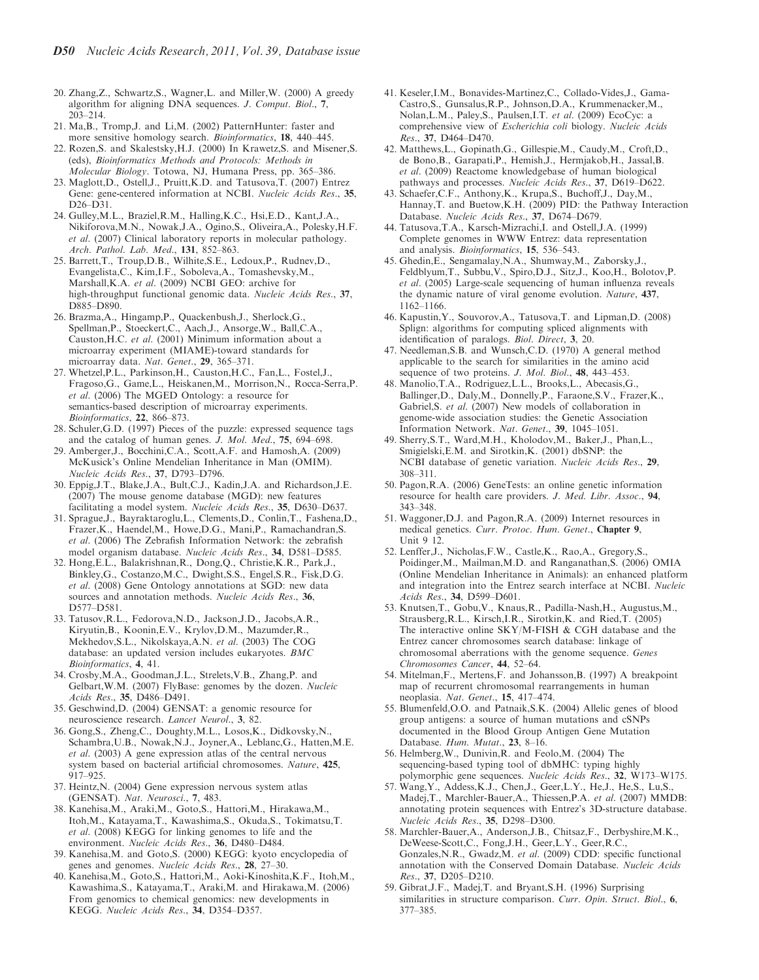- 20. Zhang,Z., Schwartz,S., Wagner,L. and Miller,W. (2000) A greedy algorithm for aligning DNA sequences. J. Comput. Biol., 7, 203–214.
- 21. Ma,B., Tromp,J. and Li,M. (2002) PatternHunter: faster and more sensitive homology search. Bioinformatics, 18, 440–445.
- 22. Rozen,S. and Skalestsky,H.J. (2000) In Krawetz,S. and Misener,S. (eds), Bioinformatics Methods and Protocols: Methods in Molecular Biology. Totowa, NJ, Humana Press, pp. 365–386.
- 23. Maglott,D., Ostell,J., Pruitt,K.D. and Tatusova,T. (2007) Entrez Gene: gene-centered information at NCBI. Nucleic Acids Res., 35, D26–D31.
- 24. Gulley,M.L., Braziel,R.M., Halling,K.C., Hsi,E.D., Kant,J.A., Nikiforova,M.N., Nowak,J.A., Ogino,S., Oliveira,A., Polesky,H.F. et al. (2007) Clinical laboratory reports in molecular pathology. Arch. Pathol. Lab. Med., 131, 852–863.
- 25. Barrett,T., Troup,D.B., Wilhite,S.E., Ledoux,P., Rudnev,D., Evangelista,C., Kim,I.F., Soboleva,A., Tomashevsky,M., Marshall,K.A. et al. (2009) NCBI GEO: archive for high-throughput functional genomic data. Nucleic Acids Res., 37, D885–D890.
- 26. Brazma,A., Hingamp,P., Quackenbush,J., Sherlock,G., Spellman,P., Stoeckert,C., Aach,J., Ansorge,W., Ball,C.A., Causton,H.C. et al. (2001) Minimum information about a microarray experiment (MIAME)-toward standards for microarray data. Nat. Genet., 29, 365–371.
- 27. Whetzel,P.L., Parkinson,H., Causton,H.C., Fan,L., Fostel,J., Fragoso,G., Game,L., Heiskanen,M., Morrison,N., Rocca-Serra,P. et al. (2006) The MGED Ontology: a resource for semantics-based description of microarray experiments. Bioinformatics, 22, 866-873.
- 28. Schuler,G.D. (1997) Pieces of the puzzle: expressed sequence tags and the catalog of human genes. J. Mol. Med., 75, 694–698.
- 29. Amberger,J., Bocchini,C.A., Scott,A.F. and Hamosh,A. (2009) McKusick's Online Mendelian Inheritance in Man (OMIM). Nucleic Acids Res., 37, D793–D796.
- 30. Eppig,J.T., Blake,J.A., Bult,C.J., Kadin,J.A. and Richardson,J.E. (2007) The mouse genome database (MGD): new features facilitating a model system. Nucleic Acids Res., 35, D630–D637.
- 31. Sprague,J., Bayraktaroglu,L., Clements,D., Conlin,T., Fashena,D., Frazer,K., Haendel,M., Howe,D.G., Mani,P., Ramachandran,S. et al. (2006) The Zebrafish Information Network: the zebrafish model organism database. Nucleic Acids Res., 34, D581–D585.
- 32. Hong,E.L., Balakrishnan,R., Dong,Q., Christie,K.R., Park,J., Binkley,G., Costanzo,M.C., Dwight,S.S., Engel,S.R., Fisk,D.G. et al. (2008) Gene Ontology annotations at SGD: new data sources and annotation methods. Nucleic Acids Res., 36, D577–D581.
- 33. Tatusov,R.L., Fedorova,N.D., Jackson,J.D., Jacobs,A.R., Kiryutin,B., Koonin,E.V., Krylov,D.M., Mazumder,R., Mekhedov,S.L., Nikolskaya,A.N. et al. (2003) The COG database: an updated version includes eukaryotes. BMC Bioinformatics, 4, 41.
- 34. Crosby,M.A., Goodman,J.L., Strelets,V.B., Zhang,P. and Gelbart,W.M. (2007) FlyBase: genomes by the dozen. Nucleic Acids Res., 35, D486–D491.
- 35. Geschwind,D. (2004) GENSAT: a genomic resource for neuroscience research. Lancet Neurol., 3, 82.
- 36. Gong,S., Zheng,C., Doughty,M.L., Losos,K., Didkovsky,N., Schambra,U.B., Nowak,N.J., Joyner,A., Leblanc,G., Hatten,M.E. et al. (2003) A gene expression atlas of the central nervous system based on bacterial artificial chromosomes. Nature, 425, 917–925.
- 37. Heintz,N. (2004) Gene expression nervous system atlas (GENSAT). Nat. Neurosci., 7, 483.
- 38. Kanehisa,M., Araki,M., Goto,S., Hattori,M., Hirakawa,M., Itoh,M., Katayama,T., Kawashima,S., Okuda,S., Tokimatsu,T. et al. (2008) KEGG for linking genomes to life and the environment. Nucleic Acids Res., 36, D480–D484.
- 39. Kanehisa,M. and Goto,S. (2000) KEGG: kyoto encyclopedia of genes and genomes. Nucleic Acids Res., 28, 27–30.
- 40. Kanehisa,M., Goto,S., Hattori,M., Aoki-Kinoshita,K.F., Itoh,M., Kawashima,S., Katayama,T., Araki,M. and Hirakawa,M. (2006) From genomics to chemical genomics: new developments in KEGG. Nucleic Acids Res., 34, D354–D357.
- 41. Keseler,I.M., Bonavides-Martinez,C., Collado-Vides,J., Gama-Castro,S., Gunsalus,R.P., Johnson,D.A., Krummenacker,M., Nolan,L.M., Paley,S., Paulsen,I.T. et al. (2009) EcoCyc: a comprehensive view of Escherichia coli biology. Nucleic Acids Res., 37, D464–D470.
- 42. Matthews,L., Gopinath,G., Gillespie,M., Caudy,M., Croft,D., de Bono,B., Garapati,P., Hemish,J., Hermjakob,H., Jassal,B. et al. (2009) Reactome knowledgebase of human biological pathways and processes. Nucleic Acids Res., 37, D619–D622.
- 43. Schaefer,C.F., Anthony,K., Krupa,S., Buchoff,J., Day,M., Hannay,T. and Buetow,K.H. (2009) PID: the Pathway Interaction Database. Nucleic Acids Res., 37, D674–D679.
- 44. Tatusova,T.A., Karsch-Mizrachi,I. and Ostell,J.A. (1999) Complete genomes in WWW Entrez: data representation and analysis. Bioinformatics, 15, 536–543.
- 45. Ghedin,E., Sengamalay,N.A., Shumway,M., Zaborsky,J., Feldblyum,T., Subbu,V., Spiro,D.J., Sitz,J., Koo,H., Bolotov,P. et al. (2005) Large-scale sequencing of human influenza reveals the dynamic nature of viral genome evolution. Nature, 437, 1162–1166.
- 46. Kapustin,Y., Souvorov,A., Tatusova,T. and Lipman,D. (2008) Splign: algorithms for computing spliced alignments with identification of paralogs. Biol. Direct, 3, 20.
- 47. Needleman,S.B. and Wunsch,C.D. (1970) A general method applicable to the search for similarities in the amino acid sequence of two proteins. *J. Mol. Biol.*, 48, 443–453.
- 48. Manolio,T.A., Rodriguez,L.L., Brooks,L., Abecasis,G., Ballinger,D., Daly,M., Donnelly,P., Faraone,S.V., Frazer,K., Gabriel,S. et al. (2007) New models of collaboration in genome-wide association studies: the Genetic Association Information Network. Nat. Genet., 39, 1045–1051.
- 49. Sherry,S.T., Ward,M.H., Kholodov,M., Baker,J., Phan,L., Smigielski,E.M. and Sirotkin,K. (2001) dbSNP: the NCBI database of genetic variation. Nucleic Acids Res., 29, 308–311.
- 50. Pagon,R.A. (2006) GeneTests: an online genetic information resource for health care providers. J. Med. Libr. Assoc., 94, 343–348.
- 51. Waggoner,D.J. and Pagon,R.A. (2009) Internet resources in medical genetics. Curr. Protoc. Hum. Genet., Chapter 9, Unit 9 12.
- 52. Lenffer,J., Nicholas,F.W., Castle,K., Rao,A., Gregory,S., Poidinger,M., Mailman,M.D. and Ranganathan,S. (2006) OMIA (Online Mendelian Inheritance in Animals): an enhanced platform and integration into the Entrez search interface at NCBI. Nucleic Acids Res., 34, D599–D601.
- 53. Knutsen,T., Gobu,V., Knaus,R., Padilla-Nash,H., Augustus,M., Strausberg,R.L., Kirsch,I.R., Sirotkin,K. and Ried,T. (2005) The interactive online SKY/M-FISH & CGH database and the Entrez cancer chromosomes search database: linkage of chromosomal aberrations with the genome sequence. Genes Chromosomes Cancer, 44, 52–64.
- 54. Mitelman,F., Mertens,F. and Johansson,B. (1997) A breakpoint map of recurrent chromosomal rearrangements in human neoplasia. Nat. Genet., 15, 417-474.
- 55. Blumenfeld,O.O. and Patnaik,S.K. (2004) Allelic genes of blood group antigens: a source of human mutations and cSNPs documented in the Blood Group Antigen Gene Mutation Database. Hum. Mutat., 23, 8-16.
- 56. Helmberg,W., Dunivin,R. and Feolo,M. (2004) The sequencing-based typing tool of dbMHC: typing highly polymorphic gene sequences. Nucleic Acids Res., 32, W173–W175.
- 57. Wang,Y., Addess,K.J., Chen,J., Geer,L.Y., He,J., He,S., Lu,S., Madej,T., Marchler-Bauer,A., Thiessen,P.A. et al. (2007) MMDB: annotating protein sequences with Entrez's 3D-structure database. Nucleic Acids Res., 35, D298–D300.
- 58. Marchler-Bauer,A., Anderson,J.B., Chitsaz,F., Derbyshire,M.K., DeWeese-Scott,C., Fong,J.H., Geer,L.Y., Geer,R.C., Gonzales,N.R., Gwadz,M. et al. (2009) CDD: specific functional annotation with the Conserved Domain Database. Nucleic Acids Res., 37, D205–D210.
- 59. Gibrat,J.F., Madej,T. and Bryant,S.H. (1996) Surprising similarities in structure comparison. Curr. Opin. Struct. Biol., 6, 377–385.